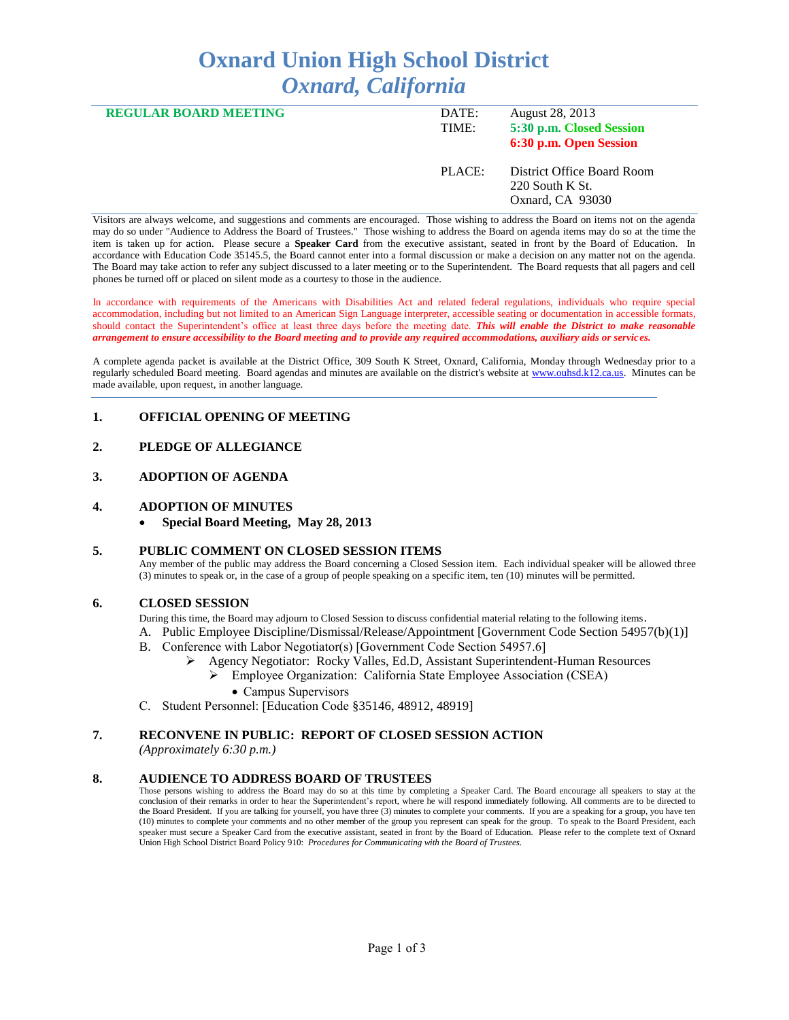# **Oxnard Union High School District** *Oxnard, California*

| <b>REGULAR BOARD MEETING</b> | DATE:<br>TIME: | August 28, 2013<br>5:30 p.m. Closed Session<br>6:30 p.m. Open Session |
|------------------------------|----------------|-----------------------------------------------------------------------|
|                              | PLACE:         | District Office Board Room<br>$220$ South K St.<br>Oxnard, CA 93030   |

Visitors are always welcome, and suggestions and comments are encouraged. Those wishing to address the Board on items not on the agenda may do so under "Audience to Address the Board of Trustees." Those wishing to address the Board on agenda items may do so at the time the item is taken up for action. Please secure a **Speaker Card** from the executive assistant, seated in front by the Board of Education. In accordance with Education Code 35145.5, the Board cannot enter into a formal discussion or make a decision on any matter not on the agenda. The Board may take action to refer any subject discussed to a later meeting or to the Superintendent. The Board requests that all pagers and cell phones be turned off or placed on silent mode as a courtesy to those in the audience.

In accordance with requirements of the Americans with Disabilities Act and related federal regulations, individuals who require special accommodation, including but not limited to an American Sign Language interpreter, accessible seating or documentation in accessible formats, should contact the Superintendent's office at least three days before the meeting date. *This will enable the District to make reasonable arrangement to ensure accessibility to the Board meeting and to provide any required accommodations, auxiliary aids or services.* 

A complete agenda packet is available at the District Office, 309 South K Street, Oxnard, California, Monday through Wednesday prior to a regularly scheduled Board meeting. Board agendas and minutes are available on the district's website at [www.ouhsd.k12.ca.us.](http://www.ouhsd.k12.ca.us/)Minutes can be made available, upon request, in another language.

## **1. OFFICIAL OPENING OF MEETING**

## **2. PLEDGE OF ALLEGIANCE**

#### **3. ADOPTION OF AGENDA**

#### **4. ADOPTION OF MINUTES**

**Special Board Meeting, May 28, 2013**

#### **5. PUBLIC COMMENT ON CLOSED SESSION ITEMS**

Any member of the public may address the Board concerning a Closed Session item. Each individual speaker will be allowed three (3) minutes to speak or, in the case of a group of people speaking on a specific item, ten (10) minutes will be permitted.

#### **6. CLOSED SESSION**

During this time, the Board may adjourn to Closed Session to discuss confidential material relating to the following items.

- A. Public Employee Discipline/Dismissal/Release/Appointment [Government Code Section 54957(b)(1)]
- B. Conference with Labor Negotiator(s) [Government Code Section 54957.6]
	- Agency Negotiator: Rocky Valles, Ed.D, Assistant Superintendent-Human Resources Employee Organization: California State Employee Association (CSEA)
		- Campus Supervisors
- C. Student Personnel: [Education Code §35146, 48912, 48919]

#### **7. RECONVENE IN PUBLIC: REPORT OF CLOSED SESSION ACTION**

*(Approximately 6:30 p.m.)*

#### **8. AUDIENCE TO ADDRESS BOARD OF TRUSTEES**

Those persons wishing to address the Board may do so at this time by completing a Speaker Card. The Board encourage all speakers to stay at the conclusion of their remarks in order to hear the Superintendent's report, where he will respond immediately following. All comments are to be directed to the Board President. If you are talking for yourself, you have three (3) minutes to complete your comments. If you are a speaking for a group, you have ten (10) minutes to complete your comments and no other member of the group you represent can speak for the group. To speak to the Board President, each speaker must secure a Speaker Card from the executive assistant, seated in front by the Board of Education. Please refer to the complete text of Oxnard Union High School District Board Policy 910: *Procedures for Communicating with the Board of Trustees.*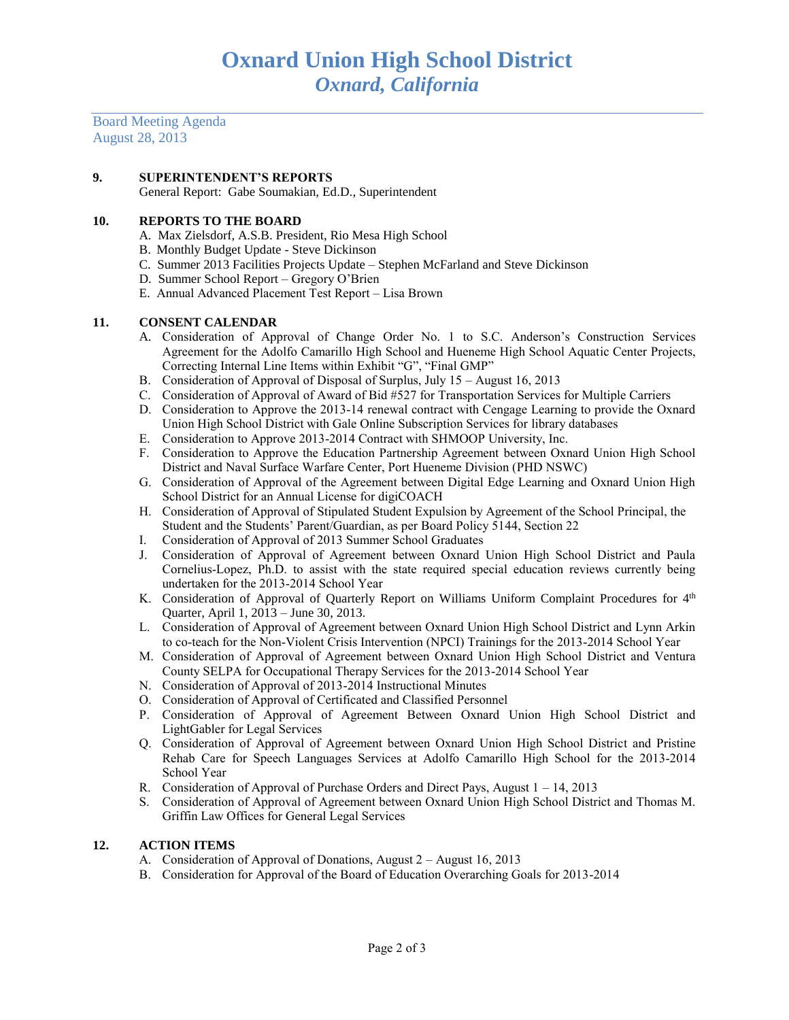Board Meeting Agenda August 28, 2013

#### **9. SUPERINTENDENT'S REPORTS**

General Report: Gabe Soumakian, Ed.D., Superintendent

#### **10. REPORTS TO THE BOARD**

- A. Max Zielsdorf, A.S.B. President, Rio Mesa High School
- B. Monthly Budget Update Steve Dickinson
- C. Summer 2013 Facilities Projects Update Stephen McFarland and Steve Dickinson
- D. Summer School Report Gregory O'Brien
- E. Annual Advanced Placement Test Report Lisa Brown

#### **11. CONSENT CALENDAR**

- A. Consideration of Approval of Change Order No. 1 to S.C. Anderson's Construction Services Agreement for the Adolfo Camarillo High School and Hueneme High School Aquatic Center Projects, Correcting Internal Line Items within Exhibit "G", "Final GMP"
- B. Consideration of Approval of Disposal of Surplus, July 15 August 16, 2013
- C. Consideration of Approval of Award of Bid #527 for Transportation Services for Multiple Carriers
- D. Consideration to Approve the 2013-14 renewal contract with Cengage Learning to provide the Oxnard Union High School District with Gale Online Subscription Services for library databases
- E. Consideration to Approve 2013-2014 Contract with SHMOOP University, Inc.
- F. Consideration to Approve the Education Partnership Agreement between Oxnard Union High School District and Naval Surface Warfare Center, Port Hueneme Division (PHD NSWC)
- G. Consideration of Approval of the Agreement between Digital Edge Learning and Oxnard Union High School District for an Annual License for digiCOACH
- H. Consideration of Approval of Stipulated Student Expulsion by Agreement of the School Principal, the Student and the Students' Parent/Guardian, as per Board Policy 5144, Section 22
- I. Consideration of Approval of 2013 Summer School Graduates
- J. Consideration of Approval of Agreement between Oxnard Union High School District and Paula Cornelius-Lopez, Ph.D. to assist with the state required special education reviews currently being undertaken for the 2013-2014 School Year
- K. Consideration of Approval of Quarterly Report on Williams Uniform Complaint Procedures for  $4<sup>th</sup>$ Quarter, April 1, 2013 – June 30, 2013.
- L. Consideration of Approval of Agreement between Oxnard Union High School District and Lynn Arkin to co-teach for the Non-Violent Crisis Intervention (NPCI) Trainings for the 2013-2014 School Year
- M. Consideration of Approval of Agreement between Oxnard Union High School District and Ventura County SELPA for Occupational Therapy Services for the 2013-2014 School Year
- N. Consideration of Approval of 2013-2014 Instructional Minutes
- O. Consideration of Approval of Certificated and Classified Personnel
- P. Consideration of Approval of Agreement Between Oxnard Union High School District and LightGabler for Legal Services
- Q. Consideration of Approval of Agreement between Oxnard Union High School District and Pristine Rehab Care for Speech Languages Services at Adolfo Camarillo High School for the 2013-2014 School Year
- R. Consideration of Approval of Purchase Orders and Direct Pays, August 1 14, 2013
- S. Consideration of Approval of Agreement between Oxnard Union High School District and Thomas M. Griffin Law Offices for General Legal Services

#### **12. ACTION ITEMS**

- A. Consideration of Approval of Donations, August 2 August 16, 2013
- B. Consideration for Approval of the Board of Education Overarching Goals for 2013-2014